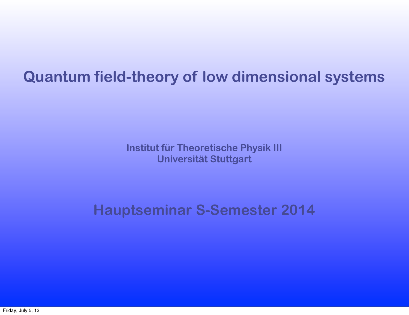## **Quantum field-theory of low dimensional systems**

**Institut für Theoretische Physik III Universität Stuttgart**

**Hauptseminar S-Semester 2014**

Friday, July 5, 13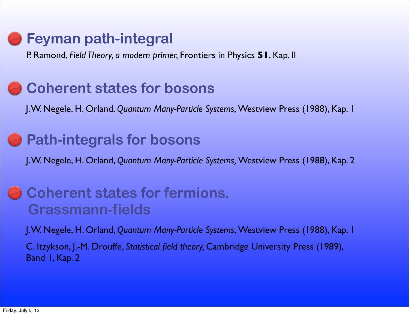## **Feyman path-integral**

P. Ramond, *Field Theory, a modern primer,* Frontiers in Physics **51**, Kap. II

### **Coherent states for bosons**

J. W. Negele, H. Orland, *Quantum Many-Particle Systems,* Westview Press (1988), Kap. 1

### **• Path-integrals for bosons**

J. W. Negele, H. Orland, *Quantum Many-Particle Systems,* Westview Press (1988), Kap. 2

### **B** Coherent states for fermions.  **Grassmann-fields**

J. W. Negele, H. Orland, *Quantum Many-Particle Systems,* Westview Press (1988), Kap. 1

C. Itzykson, J.-M. Drouffe, *Statistical field theory,* Cambridge University Press (1989), Band 1, Kap. 2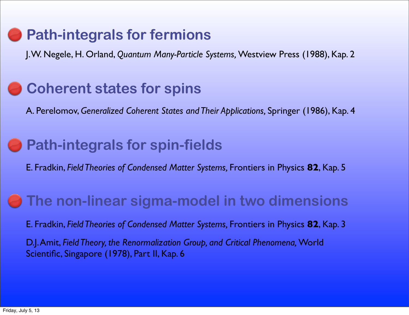# **Path-integrals for fermions**

J. W. Negele, H. Orland, *Quantum Many-Particle Systems,* Westview Press (1988), Kap. 2

### **Coherent states for spins**

A. Perelomov, *Generalized Coherent States and Their Applications,* Springer (1986), Kap. 4

### **Path-integrals for spin-fields**

E. Fradkin, *Field Theories of Condensed Matter Systems,* Frontiers in Physics **82**, Kap. 5

#### **The non-linear sigma-model in two dimensions**

E. Fradkin, *Field Theories of Condensed Matter Systems,* Frontiers in Physics **82**, Kap. 3

D.J. Amit, *Field Theory, the Renormalization Group, and Critical Phenomena,* World Scientific, Singapore (1978), Part II, Kap. 6